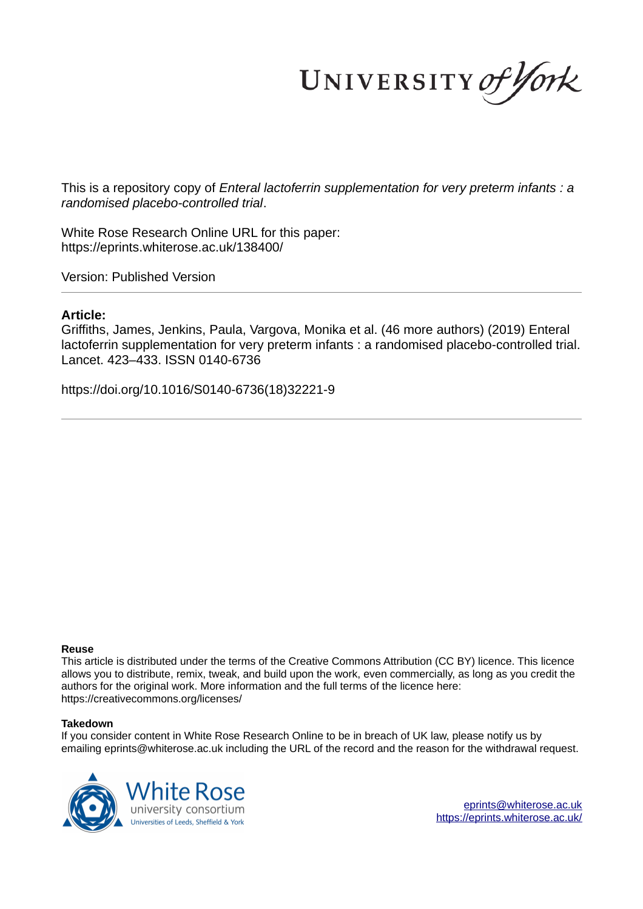UNIVERSITY of York

This is a repository copy of *Enteral lactoferrin supplementation for very preterm infants : a randomised placebo-controlled trial*.

White Rose Research Online URL for this paper: https://eprints.whiterose.ac.uk/138400/

Version: Published Version

# **Article:**

Griffiths, James, Jenkins, Paula, Vargova, Monika et al. (46 more authors) (2019) Enteral lactoferrin supplementation for very preterm infants : a randomised placebo-controlled trial. Lancet. 423–433. ISSN 0140-6736

https://doi.org/10.1016/S0140-6736(18)32221-9

## **Reuse**

This article is distributed under the terms of the Creative Commons Attribution (CC BY) licence. This licence allows you to distribute, remix, tweak, and build upon the work, even commercially, as long as you credit the authors for the original work. More information and the full terms of the licence here: https://creativecommons.org/licenses/

# **Takedown**

If you consider content in White Rose Research Online to be in breach of UK law, please notify us by emailing eprints@whiterose.ac.uk including the URL of the record and the reason for the withdrawal request.



eprints@whiterose.ac.uk https://eprints.whiterose.ac.uk/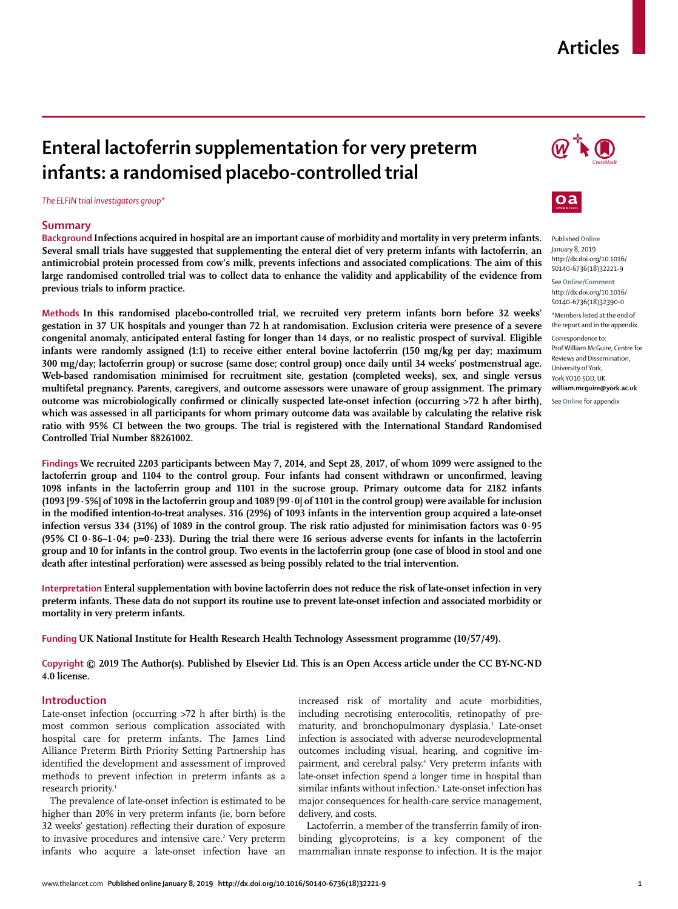# **Articles**

# **Enteral lactoferrin supplementation for very preterm infants: a randomised placebo-controlled trial**

*The ELFIN trial investigators group\**

## **Summary**

**Background Infections acquired in hospital are an important cause of morbidity and mortality in very preterm infants. Several small trials have suggested that supplementing the enteral diet of very preterm infants with lactoferrin, an antimicrobial protein processed from cow's milk, prevents infections and associated complications. The aim of this large randomised controlled trial was to collect data to enhance the validity and applicability of the evidence from previous trials to inform practice.**

**Methods In this randomised placebo-controlled trial, we recruited very preterm infants born before 32 weeks' gestation in 37 UK hospitals and younger than 72 h at randomisation. Exclusion criteria were presence of a severe congenital anomaly, anticipated enteral fasting for longer than 14 days, or no realistic prospect of survival. Eligible infants were randomly assigned (1:1) to receive either enteral bovine lactoferrin (150 mg/kg per day; maximum 300 mg/day; lactoferrin group) or sucrose (same dose; control group) once daily until 34 weeks' postmenstrual age. Web-based randomisation minimised for recruitment site, gestation (completed weeks), sex, and single versus multifetal pregnancy. Parents, caregivers, and outcome assessors were unaware of group assignment. The primary outcome was microbiologically confirmed or clinically suspected late-onset infection (occurring >72 h after birth), which was assessed in all participants for whom primary outcome data was available by calculating the relative risk ratio with 95% CI between the two groups. The trial is registered with the International Standard Randomised Controlled Trial Number 88261002.**

**Findings We recruited 2203 participants between May 7, 2014, and Sept 28, 2017, of whom 1099 were assigned to the lactoferrin group and 1104 to the control group. Four infants had consent withdrawn or unconfirmed, leaving 1098 infants in the lactoferrin group and 1101 in the sucrose group. Primary outcome data for 2182 infants (1093 [99·5%] of 1098 in the lactoferrin group and 1089 [99·0] of 1101 in the control group) were available for inclusion in the modified intention-to-treat analyses. 316 (29%) of 1093 infants in the intervention group acquired a late-onset infection versus 334 (31%) of 1089 in the control group. The risk ratio adjusted for minimisation factors was 0·95 (95% CI 0·86–1·04; p=0·233). During the trial there were 16 serious adverse events for infants in the lactoferrin group and 10 for infants in the control group. Two events in the lactoferrin group (one case of blood in stool and one death after intestinal perforation) were assessed as being possibly related to the trial intervention.**

**Interpretation Enteral supplementation with bovine lactoferrin does not reduce the risk of late-onset infection in very preterm infants. These data do not support its routine use to prevent late-onset infection and associated morbidity or mortality in very preterm infants.**

**Funding UK National Institute for Health Research Health Technology Assessment programme (10/57/49).**

**Copyright © 2019 The Author(s). Published by Elsevier Ltd. This is an Open Access article under the CC BY-NC-ND 4.0 license.**

## **Introduction**

Late-onset infection (occurring >72 h after birth) is the most common serious complication associated with hospital care for preterm infants. The James Lind Alliance Preterm Birth Priority Setting Partnership has identified the development and assessment of improved methods to prevent infection in preterm infants as a research priority.<sup>1</sup>

The prevalence of late-onset infection is estimated to be higher than 20% in very preterm infants (ie, born before 32 weeks' gestation) reflecting their duration of exposure to invasive procedures and intensive care.<sup>2</sup> Very preterm infants who acquire a late-onset infection have an

increased risk of mortality and acute morbidities, including necrotising enterocolitis, retinopathy of prematurity, and bronchopulmonary dysplasia.<sup>3</sup> Late-onset infection is associated with adverse neurodevelopmental outcomes including visual, hearing, and cognitive impairment, and cerebral palsy.<sup>4</sup> Very preterm infants with late-onset infection spend a longer time in hospital than similar infants without infection.<sup>5</sup> Late-onset infection has major consequences for health-care service management, delivery, and costs.

Lactoferrin, a member of the transferrin family of ironbinding glycoproteins, is a key component of the mammalian innate response to infection. It is the major





Published **Online** January 8, 2019 http://dx.doi.org/10.1016/ S0140-6736(18)32221-9

See **Online/Comment** http://dx.doi.org/10.1016/ S0140-6736(18)32390-0

\*Members listed at the end of the report and in the appendix

Correspondence to: Prof William McGuire, Centre for Reviews and Dissemination, University of York, York YO10 5DD, UK **william.mcguire@york.ac.uk**

See **Online** for appendix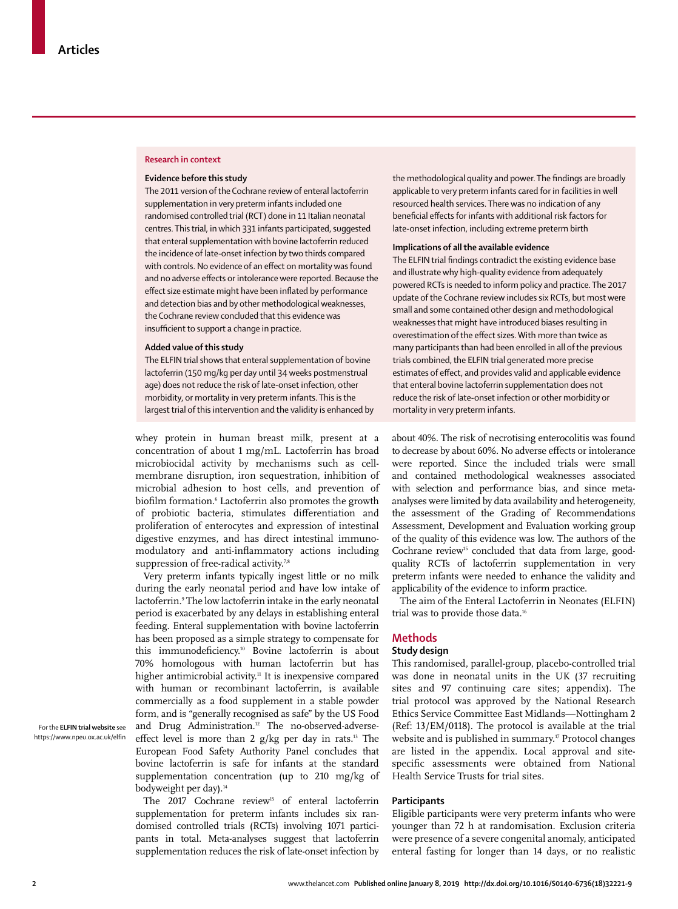## **Research in context**

#### **Evidence before this study**

The 2011 version of the Cochrane review of enteral lactoferrin supplementation in very preterm infants included one randomised controlled trial (RCT) done in 11 Italian neonatal centres. This trial, in which 331 infants participated, suggested that enteral supplementation with bovine lactoferrin reduced the incidence of late-onset infection by two thirds compared with controls. No evidence of an effect on mortality was found and no adverse effects or intolerance were reported. Because the effect size estimate might have been inflated by performance and detection bias and by other methodological weaknesses, the Cochrane review concluded that this evidence was insufficient to support a change in practice.

#### **Added value of this study**

The ELFIN trial shows that enteral supplementation of bovine lactoferrin (150 mg/kg per day until 34 weeks postmenstrual age) does not reduce the risk of late-onset infection, other morbidity, or mortality in very preterm infants. This is the largest trial of this intervention and the validity is enhanced by

whey protein in human breast milk, present at a concentration of about 1 mg/mL. Lactoferrin has broad microbiocidal activity by mechanisms such as cellmembrane disruption, iron sequestration, inhibition of microbial adhesion to host cells, and prevention of biofilm formation.<sup>6</sup> Lactoferrin also promotes the growth of probiotic bacteria, stimulates differentiation and proliferation of enterocytes and expression of intestinal digestive enzymes, and has direct intestinal immunomodulatory and anti-inflammatory actions including suppression of free-radical activity.<sup>7,8</sup>

Very preterm infants typically ingest little or no milk during the early neonatal period and have low intake of lactoferrin.<sup>9</sup> The low lactoferrin intake in the early neonatal period is exacerbated by any delays in establishing enteral feeding. Enteral supplementation with bovine lactoferrin has been proposed as a simple strategy to compensate for this immunodeficiency.<sup>10</sup> Bovine lactoferrin is about 70% homologous with human lactoferrin but has higher antimicrobial activity.<sup>11</sup> It is inexpensive compared with human or recombinant lactoferrin, is available commercially as a food supplement in a stable powder form, and is "generally recognised as safe" by the US Food and Drug Administration.<sup>12</sup> The no-observed-adverseeffect level is more than 2 g/kg per day in rats.<sup>13</sup> The European Food Safety Authority Panel concludes that bovine lactoferrin is safe for infants at the standard supplementation concentration (up to 210 mg/kg of bodyweight per day).<sup>14</sup>

The 2017 Cochrane review<sup>15</sup> of enteral lactoferrin supplementation for preterm infants includes six randomised controlled trials (RCTs) involving 1071 participants in total. Meta-analyses suggest that lactoferrin supplementation reduces the risk of late-onset infection by the methodological quality and power. The findings are broadly applicable to very preterm infants cared for in facilities in well resourced health services. There was no indication of any beneficial effects for infants with additional risk factors for late-onset infection, including extreme preterm birth

#### **Implications of all the available evidence**

The ELFIN trial findings contradict the existing evidence base and illustrate why high-quality evidence from adequately powered RCTs is needed to inform policy and practice. The 2017 update of the Cochrane review includes six RCTs, but most were small and some contained other design and methodological weaknesses that might have introduced biases resulting in overestimation of the effect sizes. With more than twice as many participants than had been enrolled in all of the previous trials combined, the ELFIN trial generated more precise estimates of effect, and provides valid and applicable evidence that enteral bovine lactoferrin supplementation does not reduce the risk of late-onset infection or other morbidity or mortality in very preterm infants.

about 40%. The risk of necrotising enterocolitis was found to decrease by about 60%. No adverse effects or intolerance were reported. Since the included trials were small and contained methodological weaknesses associated with selection and performance bias, and since metaanalyses were limited by data availability and heterogeneity, the assessment of the Grading of Recommendations Assessment, Development and Evaluation working group of the quality of this evidence was low. The authors of the Cochrane review<sup>15</sup> concluded that data from large, goodquality RCTs of lactoferrin supplementation in very preterm infants were needed to enhance the validity and applicability of the evidence to inform practice.

The aim of the Enteral Lactoferrin in Neonates (ELFIN) trial was to provide those data.<sup>16</sup>

## **Methods**

## **Study design**

This randomised, parallel-group, placebo-controlled trial was done in neonatal units in the UK (37 recruiting sites and 97 continuing care sites; appendix). The trial protocol was approved by the National Research Ethics Service Committee East Midlands—Nottingham 2 (Ref: 13/EM/0118). The protocol is available at the trial website and is published in summary.<sup>17</sup> Protocol changes are listed in the appendix. Local approval and sitespecific assessments were obtained from National Health Service Trusts for trial sites.

## **Participants**

Eligible participants were very preterm infants who were younger than 72 h at randomisation. Exclusion criteria were presence of a severe congenital anomaly, anticipated enteral fasting for longer than 14 days, or no realistic

For the **ELFIN trial website** see https://www.npeu.ox.ac.uk/elfin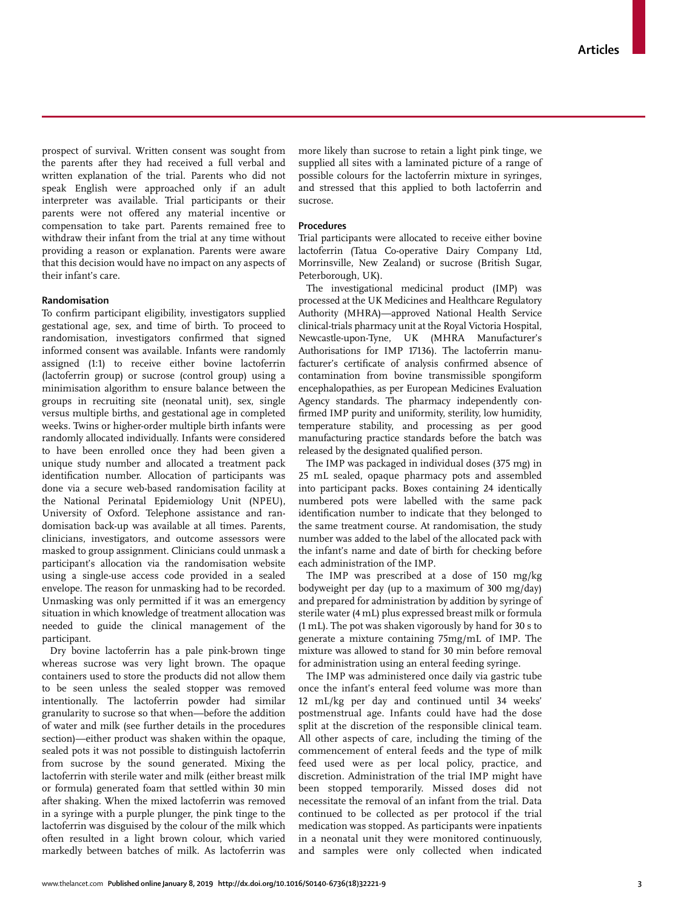prospect of survival. Written consent was sought from the parents after they had received a full verbal and written explanation of the trial. Parents who did not speak English were approached only if an adult interpreter was available. Trial participants or their parents were not offered any material incentive or compensation to take part. Parents remained free to withdraw their infant from the trial at any time without providing a reason or explanation. Parents were aware that this decision would have no impact on any aspects of their infant's care.

## **Randomisation**

To confirm participant eligibility, investigators supplied gestational age, sex, and time of birth. To proceed to randomisation, investigators confirmed that signed informed consent was available. Infants were randomly assigned (1:1) to receive either bovine lactoferrin (lactoferrin group) or sucrose (control group) using a minimisation algorithm to ensure balance between the groups in recruiting site (neonatal unit), sex, single versus multiple births, and gestational age in completed weeks. Twins or higher-order multiple birth infants were randomly allocated individually. Infants were considered to have been enrolled once they had been given a unique study number and allocated a treatment pack identification number. Allocation of participants was done via a secure web-based randomisation facility at the National Perinatal Epidemiology Unit (NPEU), University of Oxford. Telephone assistance and randomisation back-up was available at all times. Parents, clinicians, investigators, and outcome assessors were masked to group assignment. Clinicians could unmask a participant's allocation via the randomisation website using a single-use access code provided in a sealed envelope. The reason for unmasking had to be recorded. Unmasking was only permitted if it was an emergency situation in which knowledge of treatment allocation was needed to guide the clinical management of the participant.

Dry bovine lactoferrin has a pale pink-brown tinge whereas sucrose was very light brown. The opaque containers used to store the products did not allow them to be seen unless the sealed stopper was removed intentionally. The lactoferrin powder had similar granularity to sucrose so that when—before the addition of water and milk (see further details in the procedures section)—either product was shaken within the opaque, sealed pots it was not possible to distinguish lactoferrin from sucrose by the sound generated. Mixing the lactoferrin with sterile water and milk (either breast milk or formula) generated foam that settled within 30 min after shaking. When the mixed lactoferrin was removed in a syringe with a purple plunger, the pink tinge to the lactoferrin was disguised by the colour of the milk which often resulted in a light brown colour, which varied markedly between batches of milk. As lactoferrin was more likely than sucrose to retain a light pink tinge, we supplied all sites with a laminated picture of a range of possible colours for the lactoferrin mixture in syringes, and stressed that this applied to both lactoferrin and sucrose.

## **Procedures**

Trial participants were allocated to receive either bovine lactoferrin (Tatua Co-operative Dairy Company Ltd, Morrinsville, New Zealand) or sucrose (British Sugar, Peterborough, UK).

The investigational medicinal product (IMP) was processed at the UK Medicines and Healthcare Regulatory Authority (MHRA)—approved National Health Service clinical-trials pharmacy unit at the Royal Victoria Hospital, Newcastle-upon-Tyne, UK (MHRA Manufacturer's Authorisations for IMP 17136). The lactoferrin manufacturer's certificate of analysis confirmed absence of contamination from bovine transmissible spongiform encephalopathies, as per European Medicines Evaluation Agency standards. The pharmacy independently confirmed IMP purity and uniformity, sterility, low humidity, temperature stability, and processing as per good manufacturing practice standards before the batch was released by the designated qualified person.

The IMP was packaged in individual doses (375 mg) in 25 mL sealed, opaque pharmacy pots and assembled into participant packs. Boxes containing 24 identically numbered pots were labelled with the same pack identification number to indicate that they belonged to the same treatment course. At randomisation, the study number was added to the label of the allocated pack with the infant's name and date of birth for checking before each administration of the IMP.

The IMP was prescribed at a dose of 150 mg/kg bodyweight per day (up to a maximum of 300 mg/day) and prepared for administration by addition by syringe of sterile water (4 mL) plus expressed breast milk or formula (1 mL). The pot was shaken vigorously by hand for 30 s to generate a mixture containing 75mg/mL of IMP. The mixture was allowed to stand for 30 min before removal for administration using an enteral feeding syringe.

The IMP was administered once daily via gastric tube once the infant's enteral feed volume was more than 12 mL/kg per day and continued until 34 weeks' postmenstrual age. Infants could have had the dose split at the discretion of the responsible clinical team. All other aspects of care, including the timing of the commencement of enteral feeds and the type of milk feed used were as per local policy, practice, and discretion. Administration of the trial IMP might have been stopped temporarily. Missed doses did not necessitate the removal of an infant from the trial. Data continued to be collected as per protocol if the trial medication was stopped. As participants were inpatients in a neonatal unit they were monitored continuously, and samples were only collected when indicated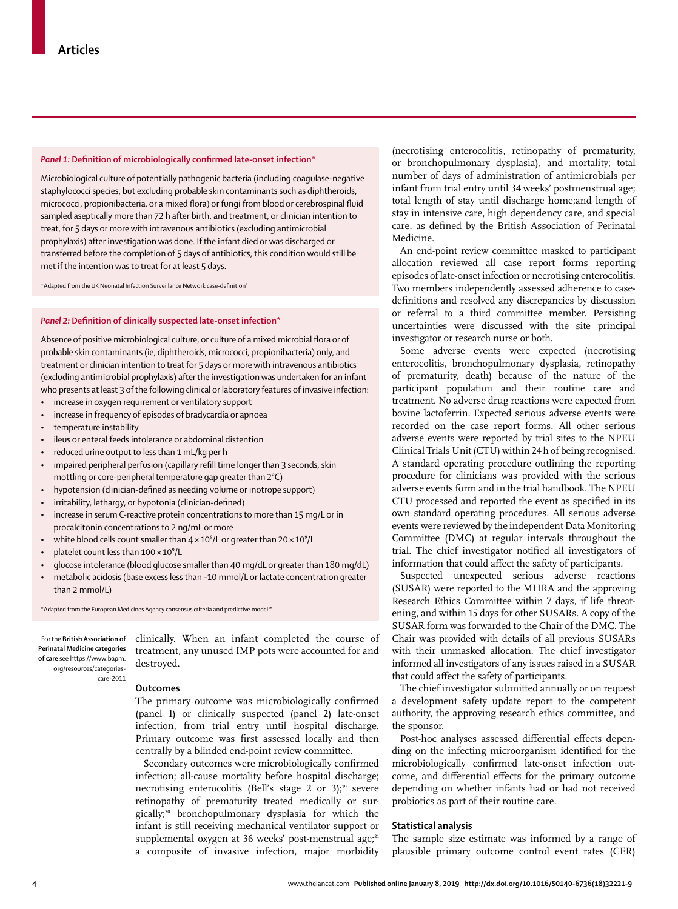#### *Panel 1:* **Definition of microbiologically confirmed late-onset infection\***

Microbiological culture of potentially pathogenic bacteria (including coagulase-negative staphylococci species, but excluding probable skin contaminants such as diphtheroids, micrococci, propionibacteria, or a mixed flora) or fungi from blood or cerebrospinal fluid sampled aseptically more than 72 h after birth, and treatment, or clinician intention to treat, for 5 days or more with intravenous antibiotics (excluding antimicrobial prophylaxis) after investigation was done. If the infant died or was discharged or transferred before the completion of 5 days of antibiotics, this condition would still be met if the intention was to treat for at least 5 days.

\*Adapted from the UK Neonatal Infection Surveillance Network case-definition<sup>2</sup>

#### *Panel 2:* **Definition of clinically suspected late-onset infection\***

Absence of positive microbiological culture, or culture of a mixed microbial flora or of probable skin contaminants (ie, diphtheroids, micrococci, propionibacteria) only, and treatment or clinician intention to treat for 5 days or more with intravenous antibiotics (excluding antimicrobial prophylaxis) after the investigation was undertaken for an infant who presents at least 3 of the following clinical or laboratory features of invasive infection:

- increase in oxygen requirement or ventilatory support
- increase in frequency of episodes of bradycardia or apnoea
- temperature instability
- ileus or enteral feeds intolerance or abdominal distention
- reduced urine output to less than 1 mL/kg per h
- impaired peripheral perfusion (capillary refill time longer than 3 seconds, skin mottling or core-peripheral temperature gap greater than 2°C)
- hypotension (clinician-defined as needing volume or inotrope support)
- irritability, lethargy, or hypotonia (clinician-defined)
- increase in serum C-reactive protein concentrations to more than 15 mg/L or in procalcitonin concentrations to 2 ng/mL or more
- white blood cells count smaller than  $4 \times 10^{9}$ /L or greater than  $20 \times 10^{9}$ /L
- platelet count less than  $100 \times 10^9$ /L
- glucose intolerance (blood glucose smaller than 40 mg/dL or greater than 180 mg/dL)
- metabolic acidosis (base excess less than –10 mmol/L or lactate concentration greater than 2 mmol/L)

\* Adapted from the European Medicines Agency consensus criteria and predictive model<sup>18</sup>

For the **British Association of Perinatal Medicine categories of care** see https://www.bapm. org/resources/categoriescare-2011

clinically. When an infant completed the course of treatment, any unused IMP pots were accounted for and destroyed.

#### **Outcomes**

The primary outcome was microbiologically confirmed (panel 1) or clinically suspected (panel 2) late-onset infection, from trial entry until hospital discharge. Primary outcome was first assessed locally and then centrally by a blinded end-point review committee.

Secondary outcomes were microbiologically confirmed infection; all-cause mortality before hospital discharge; necrotising enterocolitis (Bell's stage 2 or 3);<sup>19</sup> severe retinopathy of prematurity treated medically or surgically;20 bronchopulmonary dysplasia for which the infant is still receiving mechanical ventilator support or supplemental oxygen at 36 weeks' post-menstrual age; $^{21}$ a composite of invasive infection, major morbidity

(necrotising enterocolitis, retinopathy of prematurity, or bronchopulmonary dysplasia), and mortality; total number of days of administration of antimicrobials per infant from trial entry until 34 weeks' postmenstrual age; total length of stay until discharge home;and length of stay in intensive care, high dependency care, and special care, as defined by the British Association of Perinatal Medicine.

An end-point review committee masked to participant allocation reviewed all case report forms reporting episodes of late-onset infection or necrotising enterocolitis. Two members independently assessed adherence to casedefinitions and resolved any discrepancies by discussion or referral to a third committee member. Persisting uncertainties were discussed with the site principal investigator or research nurse or both.

Some adverse events were expected (necrotising enterocolitis, bronchopulmonary dysplasia, retinopathy of prematurity, death) because of the nature of the participant population and their routine care and treatment. No adverse drug reactions were expected from bovine lactoferrin. Expected serious adverse events were recorded on the case report forms. All other serious adverse events were reported by trial sites to the NPEU Clinical Trials Unit (CTU) within 24 h of being recognised. A standard operating procedure outlining the reporting procedure for clinicians was provided with the serious adverse events form and in the trial handbook. The NPEU CTU processed and reported the event as specified in its own standard operating procedures. All serious adverse events were reviewed by the independent Data Monitoring Committee (DMC) at regular intervals throughout the trial. The chief investigator notified all investigators of information that could affect the safety of participants.

Suspected unexpected serious adverse reactions (SUSAR) were reported to the MHRA and the approving Research Ethics Committee within 7 days, if life threatening, and within 15 days for other SUSARs. A copy of the SUSAR form was forwarded to the Chair of the DMC. The Chair was provided with details of all previous SUSARs with their unmasked allocation. The chief investigator informed all investigators of any issues raised in a SUSAR that could affect the safety of participants.

The chief investigator submitted annually or on request a development safety update report to the competent authority, the approving research ethics committee, and the sponsor.

Post-hoc analyses assessed differential effects depending on the infecting microorganism identified for the microbiologically confirmed late-onset infection outcome, and differential effects for the primary outcome depending on whether infants had or had not received probiotics as part of their routine care.

### **Statistical analysis**

The sample size estimate was informed by a range of plausible primary outcome control event rates (CER)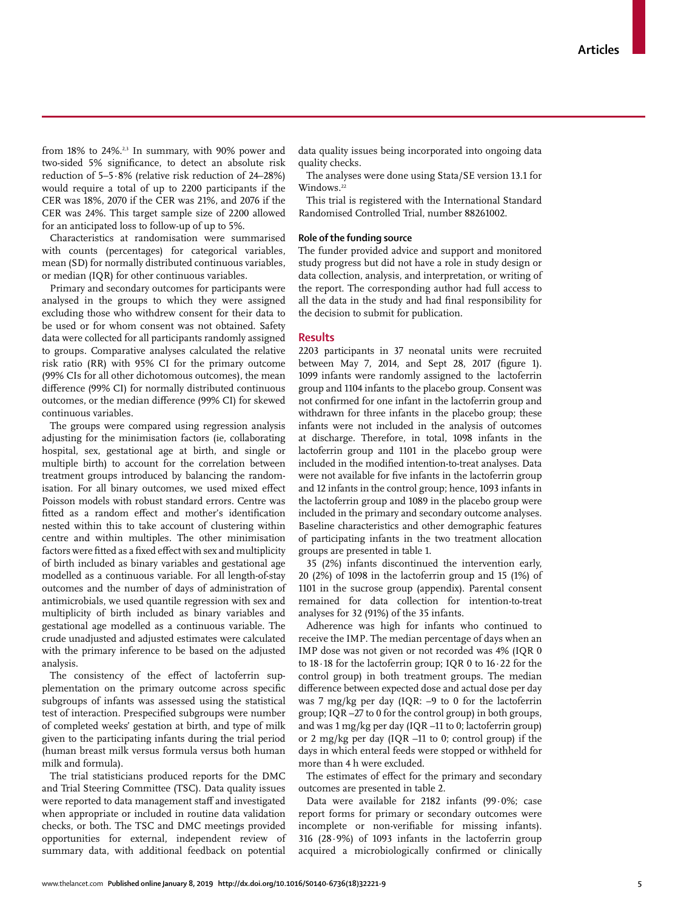from  $18\%$  to  $24\%$ .<sup>2,3</sup> In summary, with  $90\%$  power and two-sided 5% significance, to detect an absolute risk reduction of 5–5·8% (relative risk reduction of 24–28%) would require a total of up to 2200 participants if the CER was 18%, 2070 if the CER was 21%, and 2076 if the CER was 24%. This target sample size of 2200 allowed for an anticipated loss to follow-up of up to 5%.

Characteristics at randomisation were summarised with counts (percentages) for categorical variables, mean (SD) for normally distributed continuous variables, or median (IQR) for other continuous variables.

Primary and secondary outcomes for participants were analysed in the groups to which they were assigned excluding those who withdrew consent for their data to be used or for whom consent was not obtained. Safety data were collected for all participants randomly assigned to groups. Comparative analyses calculated the relative risk ratio (RR) with 95% CI for the primary outcome (99% CIs for all other dichotomous outcomes), the mean difference (99% CI) for normally distributed continuous outcomes, or the median difference (99% CI) for skewed continuous variables.

The groups were compared using regression analysis adjusting for the minimisation factors (ie, collaborating hospital, sex, gestational age at birth, and single or multiple birth) to account for the correlation between treatment groups introduced by balancing the randomisation. For all binary outcomes, we used mixed effect Poisson models with robust standard errors. Centre was fitted as a random effect and mother's identification nested within this to take account of clustering within centre and within multiples. The other minimisation factors were fitted as a fixed effect with sex and multiplicity of birth included as binary variables and gestational age modelled as a continuous variable. For all length-of-stay outcomes and the number of days of administration of antimicrobials, we used quantile regression with sex and multiplicity of birth included as binary variables and gestational age modelled as a continuous variable. The crude un adjusted and adjusted estimates were calculated with the primary inference to be based on the adjusted analysis.

The consistency of the effect of lactoferrin supplementation on the primary outcome across specific subgroups of infants was assessed using the statistical test of interaction. Prespecified subgroups were number of completed weeks' gestation at birth, and type of milk given to the participating infants during the trial period (human breast milk versus formula versus both human milk and formula).

The trial statisticians produced reports for the DMC and Trial Steering Committee (TSC). Data quality issues were reported to data management staff and investigated when appropriate or included in routine data validation checks, or both. The TSC and DMC meetings provided opportunities for external, independent review of summary data, with additional feedback on potential data quality issues being incorporated into ongoing data quality checks.

The analyses were done using Stata/SE version 13.1 for Windows.<sup>22</sup>

This trial is registered with the International Standard Randomised Controlled Trial, number 88261002.

## **Role of the funding source**

The funder provided advice and support and monitored study progress but did not have a role in study design or data collection, analysis, and interpretation, or writing of the report. The corresponding author had full access to all the data in the study and had final responsibility for the decision to submit for publication.

## **Results**

2203 participants in 37 neonatal units were recruited between May 7, 2014, and Sept 28, 2017 (figure 1). 1099 infants were randomly assigned to the lactoferrin group and 1104 infants to the placebo group. Consent was not confirmed for one infant in the lactoferrin group and withdrawn for three infants in the placebo group; these infants were not included in the analysis of outcomes at discharge. Therefore, in total, 1098 infants in the lactoferrin group and 1101 in the placebo group were included in the modified intention-to-treat analyses. Data were not available for five infants in the lactoferrin group and 12 infants in the control group; hence, 1093 infants in the lactoferrin group and 1089 in the placebo group were included in the primary and secondary outcome analyses. Baseline characteristics and other demographic features of participating infants in the two treatment allocation groups are presented in table 1.

35 (2%) infants discontinued the intervention early, 20 (2%) of 1098 in the lactoferrin group and 15 (1%) of 1101 in the sucrose group (appendix). Parental consent remained for data collection for intention-to-treat analyses for 32 (91%) of the 35 infants.

Adherence was high for infants who continued to receive the IMP. The median percentage of days when an IMP dose was not given or not recorded was 4% (IQR 0 to 18·18 for the lactoferrin group; IQR 0 to 16·22 for the control group) in both treatment groups. The median difference between expected dose and actual dose per day was 7 mg/kg per day (IQR: –9 to 0 for the lactoferrin group; IQR –27 to 0 for the control group) in both groups, and was 1 mg/kg per day (IQR –11 to 0; lactoferrin group) or 2 mg/kg per day (IQR –11 to 0; control group) if the days in which enteral feeds were stopped or withheld for more than 4 h were excluded.

The estimates of effect for the primary and secondary outcomes are presented in table 2.

Data were available for 2182 infants (99·0%; case report forms for primary or secondary outcomes were incomplete or non-verifiable for missing infants). 316 (28·9%) of 1093 infants in the lactoferrin group acquired a microbiologically confirmed or clinically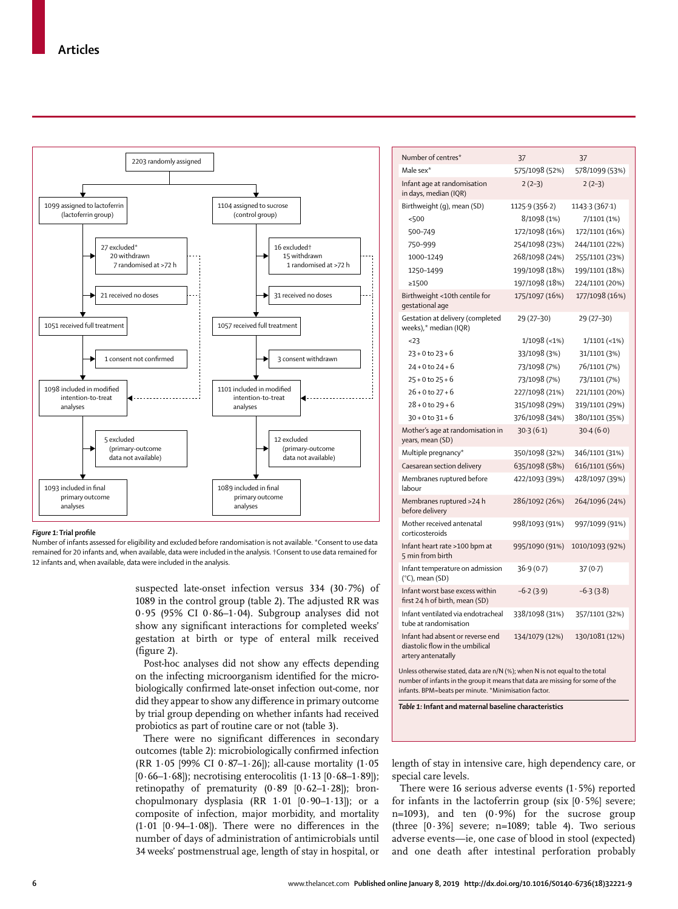

#### *Figure 1:* **Trial profile**

Number of infants assessed for eligibility and excluded before randomisation is not available. \*Consent to use data remained for 20 infants and, when available, data were included in the analysis. †Consent to use data remained for 12 infants and, when available, data were included in the analysis.

> suspected late-onset infection versus 334 (30·7%) of 1089 in the control group (table 2). The adjusted RR was 0·95 (95% CI 0·86–1·04). Subgroup analyses did not show any significant interactions for completed weeks' gestation at birth or type of enteral milk received (figure 2).

> Post-hoc analyses did not show any effects depending on the infecting microorganism identified for the microbiologically confirmed late-onset infection out-come, nor did they appear to show any difference in primary outcome by trial group depending on whether infants had received probiotics as part of routine care or not (table 3).

> There were no significant differences in secondary outcomes (table 2): microbiologically confirmed infection (RR 1·05 [99% CI 0·87–1·26]); all-cause mortality (1·05  $[0.66-1.68]$ ; necrotising enterocolitis  $(1.13 \, [0.68-1.89])$ ; retinopathy of prematurity  $(0.89 \mid 0.62-1.28]$ ; bronchopulmonary dysplasia (RR 1·01 [0·90–1·13]); or a composite of infection, major morbidity, and mortality  $(1.01 \, [0.94-1.08])$ . There were no differences in the number of days of administration of antimicrobials until 34 weeks' postmenstrual age, length of stay in hospital, or

| Number of centres*                                                                        | 37             | 37              |  |  |  |
|-------------------------------------------------------------------------------------------|----------------|-----------------|--|--|--|
| Male sex*                                                                                 | 575/1098 (52%) | 578/1099 (53%)  |  |  |  |
| Infant age at randomisation<br>in days, median (IQR)                                      | $2(2-3)$       | $2(2-3)$        |  |  |  |
| Birthweight (g), mean (SD)                                                                | 1125.9 (356.2) | 1143.3 (367.1)  |  |  |  |
| < 500                                                                                     | 8/1098 (1%)    | 7/1101 (1%)     |  |  |  |
| 500-749                                                                                   | 172/1098 (16%) | 172/1101 (16%)  |  |  |  |
| 750-999                                                                                   | 254/1098 (23%) | 244/1101 (22%)  |  |  |  |
| 1000-1249                                                                                 | 268/1098 (24%) | 255/1101 (23%)  |  |  |  |
| 1250-1499                                                                                 | 199/1098 (18%) | 199/1101 (18%)  |  |  |  |
| ≥1500                                                                                     | 197/1098 (18%) | 224/1101 (20%)  |  |  |  |
| Birthweight <10th centile for<br>gestational age                                          | 175/1097 (16%) | 177/1098 (16%)  |  |  |  |
| Gestation at delivery (completed<br>weeks),* median (IQR)                                 | 29 (27-30)     | 29 (27-30)      |  |  |  |
| 23                                                                                        | 1/1098 (<1%)   | $1/1101$ (<1%)  |  |  |  |
| $23 + 0$ to $23 + 6$                                                                      | 33/1098 (3%)   | 31/1101 (3%)    |  |  |  |
| $24 + 0$ to $24 + 6$                                                                      | 73/1098 (7%)   | 76/1101 (7%)    |  |  |  |
| $25 + 0$ to $25 + 6$                                                                      | 73/1098 (7%)   | 73/1101 (7%)    |  |  |  |
| $26 + 0$ to $27 + 6$                                                                      | 227/1098 (21%) | 221/1101 (20%)  |  |  |  |
| $28 + 0$ to $29 + 6$                                                                      | 315/1098 (29%) | 319/1101 (29%)  |  |  |  |
| $30 + 0$ to $31 + 6$                                                                      | 376/1098 (34%) | 380/1101 (35%)  |  |  |  |
| Mother's age at randomisation in<br>years, mean (SD)                                      | 30.3(6.1)      | 30.4(6.0)       |  |  |  |
| Multiple pregnancy*                                                                       | 350/1098 (32%) | 346/1101 (31%)  |  |  |  |
| Caesarean section delivery                                                                | 635/1098 (58%) | 616/1101 (56%)  |  |  |  |
| Membranes ruptured before<br>labour                                                       | 422/1093 (39%) | 428/1097 (39%)  |  |  |  |
| Membranes ruptured >24 h<br>before delivery                                               | 286/1092 (26%) | 264/1096 (24%)  |  |  |  |
| Mother received antenatal<br>corticosteroids                                              | 998/1093 (91%) | 997/1099 (91%)  |  |  |  |
| Infant heart rate >100 bpm at<br>5 min from birth                                         | 995/1090 (91%) | 1010/1093 (92%) |  |  |  |
| Infant temperature on admission<br>$(^{\circ}C)$ , mean (SD)                              | 36.9(0.7)      | 37(0.7)         |  |  |  |
| Infant worst base excess within<br>first 24 h of birth, mean (SD)                         | $-6.2(3.9)$    | $-6.3(3.8)$     |  |  |  |
| Infant ventilated via endotracheal<br>tube at randomisation                               | 338/1098 (31%) | 357/1101 (32%)  |  |  |  |
| Infant had absent or reverse end<br>diastolic flow in the umbilical<br>artery antenatally | 134/1079 (12%) | 130/1081 (12%)  |  |  |  |
| Unless otherwise stated, data are n/N (%); when N is not equal to the total               |                |                 |  |  |  |

number of infants in the group it means that data are missing for some of the infants. BPM=beats per minute. \*Minimisation factor.

*Table 1:* **Infant and maternal baseline characteristics**

length of stay in intensive care, high dependency care, or special care levels.

There were 16 serious adverse events  $(1.5%)$  reported for infants in the lactoferrin group (six  $[0.5\%]$  severe; n=1093), and ten (0·9%) for the sucrose group (three  $[0.3\%]$  severe; n=1089; table 4). Two serious adverse events—ie, one case of blood in stool (expected) and one death after intestinal perforation probably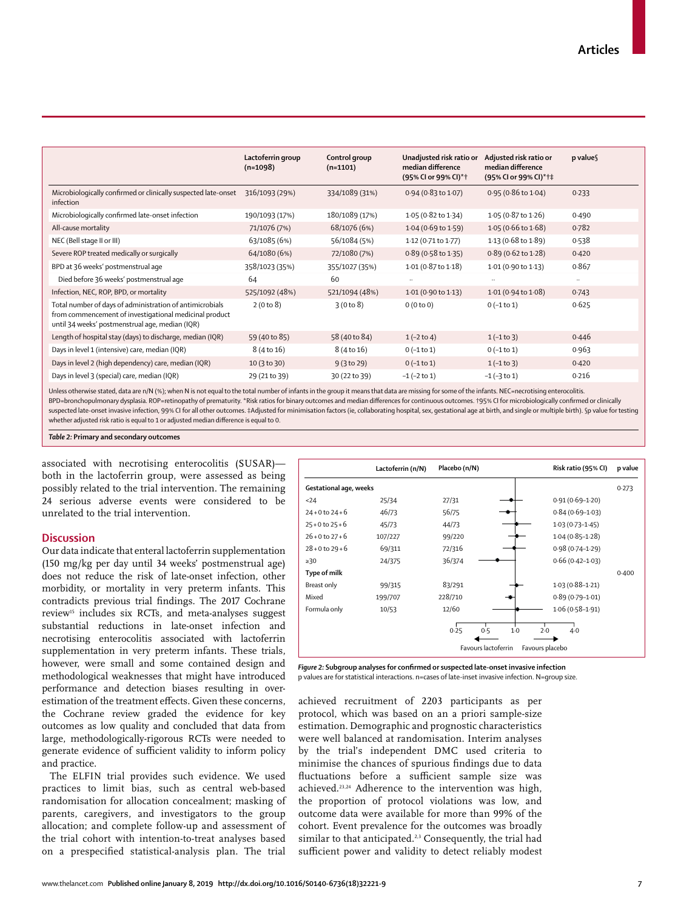|                                                                                                                                                                       | Lactoferrin group<br>$(n=1098)$ | Control group<br>$(n=1101)$ | Unadjusted risk ratio or<br>median difference<br>(95% Cl or 99% Cl)*+ | Adjusted risk ratio or<br>median difference<br>(95% CI or 99% CI)*†‡ | p values |
|-----------------------------------------------------------------------------------------------------------------------------------------------------------------------|---------------------------------|-----------------------------|-----------------------------------------------------------------------|----------------------------------------------------------------------|----------|
| Microbiologically confirmed or clinically suspected late-onset<br>infection                                                                                           | 316/1093 (29%)                  | 334/1089 (31%)              | $0.94(0.83 \text{ to } 1.07)$                                         | $0.95(0.86 \text{ to } 1.04)$                                        | 0.233    |
| Microbiologically confirmed late-onset infection                                                                                                                      | 190/1093 (17%)                  | 180/1089 (17%)              | 1.05 (0.82 to 1.34)                                                   | $1.05(0.87 \text{ to } 1.26)$                                        | 0.490    |
| All-cause mortality                                                                                                                                                   | 71/1076 (7%)                    | 68/1076 (6%)                | $1.04(0.69 \text{ to } 1.59)$                                         | 1.05 (0.66 to 1.68)                                                  | 0.782    |
| NEC (Bell stage II or III)                                                                                                                                            | 63/1085 (6%)                    | 56/1084 (5%)                | 1.12 (0.71 to 1.77)                                                   | 1.13 (0.68 to 1.89)                                                  | 0.538    |
| Severe ROP treated medically or surgically                                                                                                                            | 64/1080 (6%)                    | 72/1080 (7%)                | 0.89 (0.58 to 1.35)                                                   | 0.89 (0.62 to 1.28)                                                  | 0.420    |
| BPD at 36 weeks' postmenstrual age                                                                                                                                    | 358/1023 (35%)                  | 355/1027 (35%)              | $1.01(0.87 \text{ to } 1.18)$                                         | 1.01 (0.90 to 1.13)                                                  | 0.867    |
| Died before 36 weeks' postmenstrual age                                                                                                                               | 64                              | 60                          |                                                                       |                                                                      | $\ddots$ |
| Infection, NEC, ROP, BPD, or mortality                                                                                                                                | 525/1092 (48%)                  | 521/1094 (48%)              | $1.01(0.90 \text{ to } 1.13)$                                         | $1.01(0.94 \text{ to } 1.08)$                                        | 0.743    |
| Total number of days of administration of antimicrobials<br>from commencement of investigational medicinal product<br>until 34 weeks' postmenstrual age, median (IQR) | 2(0 to 8)                       | 3(0 to 8)                   | 0(0 to 0)                                                             | $0 (-1 to 1)$                                                        | 0.625    |
| Length of hospital stay (days) to discharge, median (IQR)                                                                                                             | 59 (40 to 85)                   | 58 (40 to 84)               | $1(-2 to 4)$                                                          | $1(-1 to 3)$                                                         | 0.446    |
| Days in level 1 (intensive) care, median (IQR)                                                                                                                        | 8 (4 to 16)                     | 8 (4 to 16)                 | $0(-1 to 1)$                                                          | $0 (-1 to 1)$                                                        | 0.963    |
| Days in level 2 (high dependency) care, median (IQR)                                                                                                                  | 10 (3 to 30)                    | 9(3 to 29)                  | $0(-1 to 1)$                                                          | $1(-1 to 3)$                                                         | 0.420    |
| Days in level 3 (special) care, median (IQR)                                                                                                                          | 29 (21 to 39)                   | 30 (22 to 39)               | $-1$ ( $-2$ to 1)                                                     | $-1$ ( $-3$ to 1)                                                    | 0.216    |
| ul di sirili Au∧o I ani i diri I frfiridi i siri diri siri fi filmo da da da a                                                                                        |                                 |                             |                                                                       |                                                                      |          |

Unless otherwise stated, data are n/N (%); when N is not equal to the total number of infants in the group it means that data are missing for some of the infants. NEC=necrotising enterocolitis BPD=bronchopulmonary dysplasia. ROP=retinopathy of prematurity. \*Risk ratios for binary outcomes and median differences for continuous outcomes. †95% CI for microbiologically confirmed or clinically suspected late-onset invasive infection, 99% CI for all other outcomes. ‡Adjusted for minimisation factors (ie, collaborating hospital, sex, gestational age at birth, and single or multiple birth). Sp value for testing whether adjusted risk ratio is equal to 1 or adjusted median difference is equal to 0.

*Table 2:* **Primary and secondary outcomes**

associated with necrotising enterocolitis (SUSAR) both in the lactoferrin group, were assessed as being possibly related to the trial intervention. The remaining 24 serious adverse events were considered to be unrelated to the trial intervention.

## **Discussion**

Our data indicate that enteral lactoferrin supplementation (150 mg/kg per day until 34 weeks' postmenstrual age) does not reduce the risk of late-onset infection, other morbidity, or mortality in very preterm infants. This contradicts previous trial findings. The 2017 Cochrane review15 includes six RCTs, and meta-analyses suggest substantial reductions in late-onset infection and necrotising enterocolitis associated with lactoferrin supplementation in very preterm infants. These trials, however, were small and some contained design and methodological weaknesses that might have introduced performance and detection biases resulting in overestimation of the treatment effects. Given these concerns, the Cochrane review graded the evidence for key outcomes as low quality and concluded that data from large, methodologically-rigorous RCTs were needed to generate evidence of sufficient validity to inform policy and practice.

The ELFIN trial provides such evidence. We used practices to limit bias, such as central web-based randomisation for allocation concealment; masking of parents, caregivers, and investigators to the group allocation; and complete follow-up and assessment of the trial cohort with intention-to-treat analyses based on a prespecified statistical-analysis plan. The trial



*Figure 2:* **Subgroup analyses for confirmed or suspected late-onset invasive infection** p values are for statistical interactions. n=cases of late-inset invasive infection. N=group size.

achieved recruitment of 2203 participants as per protocol, which was based on an a priori sample-size estimation. Demographic and prognostic characteristics were well balanced at randomisation. Interim analyses by the trial's independent DMC used criteria to minimise the chances of spurious findings due to data fluctuations before a sufficient sample size was achieved.23,24 Adherence to the intervention was high, the proportion of protocol violations was low, and outcome data were available for more than 99% of the cohort. Event prevalence for the outcomes was broadly similar to that anticipated.<sup>2,3</sup> Consequently, the trial had sufficient power and validity to detect reliably modest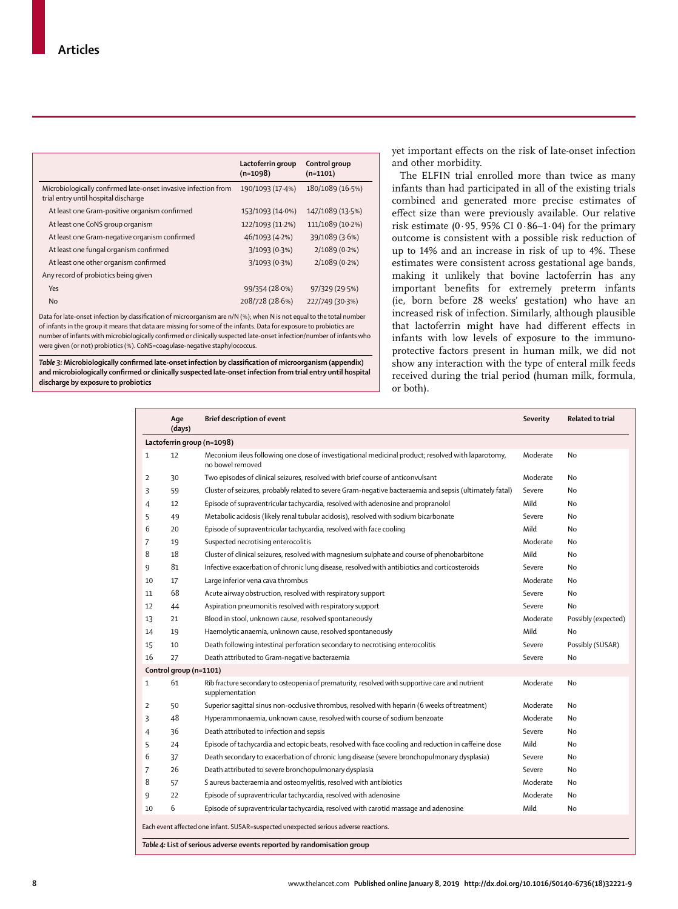|                                                                                                        | Lactoferrin group<br>$(n=1098)$ | Control group<br>$(n=1101)$ |
|--------------------------------------------------------------------------------------------------------|---------------------------------|-----------------------------|
| Microbiologically confirmed late-onset invasive infection from<br>trial entry until hospital discharge | 190/1093 (17.4%)                | 180/1089 (16.5%)            |
| At least one Gram-positive organism confirmed                                                          | 153/1093 (14.0%)                | 147/1089 (13.5%)            |
| At least one CoNS group organism                                                                       | 122/1093 (11.2%)                | 111/1089 (10.2%)            |
| At least one Gram-negative organism confirmed                                                          | 46/1093 (4.2%)                  | 39/1089 (3.6%)              |
| At least one fungal organism confirmed                                                                 | 3/1093(0.3%)                    | $2/1089(0.2\%)$             |
| At least one other organism confirmed                                                                  | 3/1093 (0.3%)                   | $2/1089(0.2\%)$             |
| Any record of probiotics being given                                                                   |                                 |                             |
| Yes                                                                                                    | 99/354 (28.0%)                  | 97/329 (29.5%)              |
| <b>No</b>                                                                                              | 208/728 (28.6%)                 | 227/749 (30.3%)             |

Data for late-onset infection by classification of microorganism are n/N (%); when N is not equal to the total number of infants in the group it means that data are missing for some of the infants. Data for exposure to probiotics are number of infants with microbiologically confirmed or clinically suspected late-onset infection/number of infants who were given (or not) probiotics (%). CoNS=coagulase-negative staphylococcus.

*Table 3:* **Microbiologically confirmed late-onset infection by classification of microorganism (appendix) and microbiologically confirmed or clinically suspected late-onset infection from trial entry until hospital discharge by exposure to probiotics**

yet important effects on the risk of late-onset infection and other morbidity.

The ELFIN trial enrolled more than twice as many infants than had participated in all of the existing trials combined and generated more precise estimates of effect size than were previously available. Our relative risk estimate (0 $.95$ , 95% CI 0 $.86-1.04$ ) for the primary outcome is consistent with a possible risk reduction of up to 14% and an increase in risk of up to 4%. These estimates were consistent across gestational age bands, making it unlikely that bovine lactoferrin has any important benefits for extremely preterm infants (ie, born before 28 weeks' gestation) who have an increased risk of infection. Similarly, although plausible that lactoferrin might have had different effects in infants with low levels of exposure to the immunoprotective factors present in human milk, we did not show any interaction with the type of enteral milk feeds received during the trial period (human milk, formula, or both).

|                            | Age<br>(days)                                                                                                                                                    | <b>Brief description of event</b>                                                                                     | <b>Severity</b> | Related to trial    |  |  |  |
|----------------------------|------------------------------------------------------------------------------------------------------------------------------------------------------------------|-----------------------------------------------------------------------------------------------------------------------|-----------------|---------------------|--|--|--|
| Lactoferrin group (n=1098) |                                                                                                                                                                  |                                                                                                                       |                 |                     |  |  |  |
| $\mathbf{1}$               | 12                                                                                                                                                               | Meconium ileus following one dose of investigational medicinal product; resolved with laparotomy,<br>no bowel removed | Moderate        | No.                 |  |  |  |
| $\overline{2}$             | 30                                                                                                                                                               | Two episodes of clinical seizures, resolved with brief course of anticonvulsant                                       | Moderate        | No                  |  |  |  |
| 3                          | 59                                                                                                                                                               | Cluster of seizures, probably related to severe Gram-negative bacteraemia and sepsis (ultimately fatal)               | Severe          | No.                 |  |  |  |
| 4                          | 12                                                                                                                                                               | Episode of supraventricular tachycardia, resolved with adenosine and propranolol                                      | Mild            | No                  |  |  |  |
| 5                          | 49                                                                                                                                                               | Metabolic acidosis (likely renal tubular acidosis), resolved with sodium bicarbonate                                  | Severe          | No.                 |  |  |  |
| 6                          | 20                                                                                                                                                               | Episode of supraventricular tachycardia, resolved with face cooling                                                   | Mild            | No                  |  |  |  |
| 7                          | 19                                                                                                                                                               | Suspected necrotising enterocolitis                                                                                   | Moderate        | No                  |  |  |  |
| 8                          | 18                                                                                                                                                               | Cluster of clinical seizures, resolved with magnesium sulphate and course of phenobarbitone                           | Mild            | No.                 |  |  |  |
| 9                          | 81                                                                                                                                                               | Infective exacerbation of chronic lung disease, resolved with antibiotics and corticosteroids                         | Severe          | No.                 |  |  |  |
| 10                         | 17                                                                                                                                                               | Large inferior vena cava thrombus                                                                                     | Moderate        | No                  |  |  |  |
| 11                         | 68                                                                                                                                                               | Acute airway obstruction, resolved with respiratory support                                                           | Severe          | No.                 |  |  |  |
| 12                         | 44                                                                                                                                                               | Aspiration pneumonitis resolved with respiratory support                                                              | Severe          | No                  |  |  |  |
| 13                         | 21                                                                                                                                                               | Blood in stool, unknown cause, resolved spontaneously                                                                 | Moderate        | Possibly (expected) |  |  |  |
| 14                         | 19                                                                                                                                                               | Haemolytic anaemia, unknown cause, resolved spontaneously                                                             | Mild            | No                  |  |  |  |
| 15                         | 10                                                                                                                                                               | Death following intestinal perforation secondary to necrotising enterocolitis                                         | Severe          | Possibly (SUSAR)    |  |  |  |
| 16                         | 27                                                                                                                                                               | Death attributed to Gram-negative bacteraemia                                                                         | Severe          | No                  |  |  |  |
|                            | Control group (n=1101)                                                                                                                                           |                                                                                                                       |                 |                     |  |  |  |
| $\mathbf{1}$               | 61                                                                                                                                                               | Rib fracture secondary to osteopenia of prematurity, resolved with supportive care and nutrient<br>supplementation    | Moderate        | <b>No</b>           |  |  |  |
| $\overline{2}$             | 50                                                                                                                                                               | Superior sagittal sinus non-occlusive thrombus, resolved with heparin (6 weeks of treatment)                          | Moderate        | No                  |  |  |  |
| 3                          | 48                                                                                                                                                               | Hyperammonaemia, unknown cause, resolved with course of sodium benzoate                                               | Moderate        | No                  |  |  |  |
| 4                          | 36                                                                                                                                                               | Death attributed to infection and sepsis                                                                              | Severe          | No                  |  |  |  |
| 5                          | 24                                                                                                                                                               | Episode of tachycardia and ectopic beats, resolved with face cooling and reduction in caffeine dose                   | Mild            | No                  |  |  |  |
| 6                          | 37                                                                                                                                                               | Death secondary to exacerbation of chronic lung disease (severe bronchopulmonary dysplasia)                           | Severe          | No                  |  |  |  |
| $\overline{7}$             | 26                                                                                                                                                               | Death attributed to severe bronchopulmonary dysplasia                                                                 | Severe          | No                  |  |  |  |
| 8                          | 57                                                                                                                                                               | S aureus bacteraemia and osteomyelitis, resolved with antibiotics                                                     | Moderate        | No                  |  |  |  |
| 9                          | 22                                                                                                                                                               | Episode of supraventricular tachycardia, resolved with adenosine                                                      | Moderate        | No                  |  |  |  |
| 10                         | 6                                                                                                                                                                | Episode of supraventricular tachycardia, resolved with carotid massage and adenosine                                  | Mild            | No                  |  |  |  |
|                            | Each event affected one infant. SUSAR=suspected unexpected serious adverse reactions.<br>Table 4: List of serious adverse events reported by randomisation group |                                                                                                                       |                 |                     |  |  |  |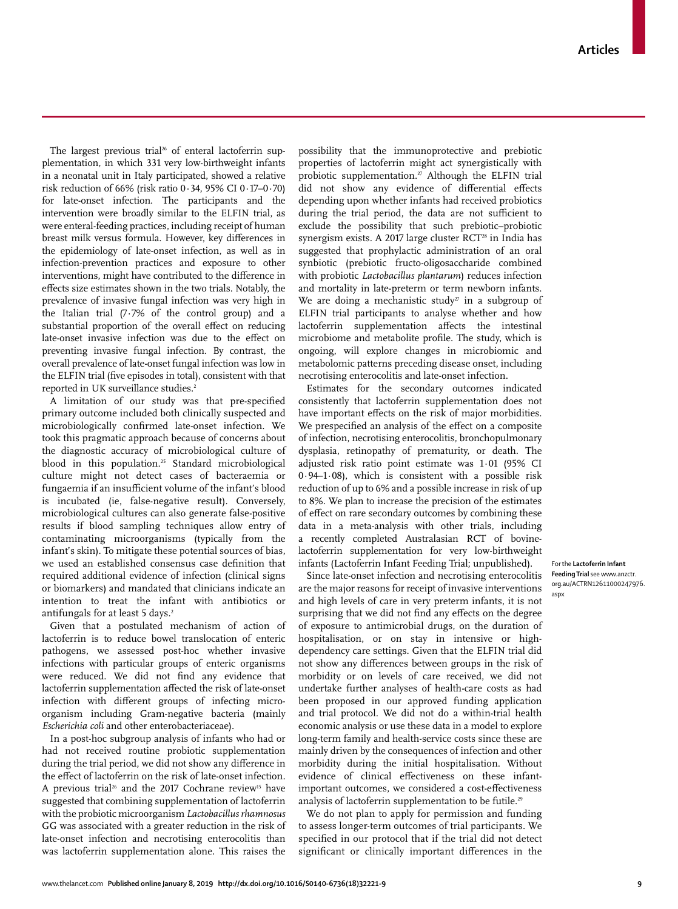The largest previous trial<sup>26</sup> of enteral lactoferrin supplementation, in which 331 very low-birthweight infants in a neonatal unit in Italy participated, showed a relative risk reduction of 66% (risk ratio 0·34, 95% CI 0·17–0·70) for late-onset infection. The participants and the intervention were broadly similar to the ELFIN trial, as were enteral-feeding practices, including receipt of human breast milk versus formula. However, key differences in the epidemiology of late-onset infection, as well as in infection-prevention practices and exposure to other interventions, might have contributed to the difference in effects size estimates shown in the two trials. Notably, the prevalence of invasive fungal infection was very high in the Italian trial (7·7% of the control group) and a substantial proportion of the overall effect on reducing late-onset invasive infection was due to the effect on preventing invasive fungal infection. By contrast, the overall prevalence of late-onset fungal infection was low in the ELFIN trial (five episodes in total), consistent with that reported in UK surveillance studies.<sup>2</sup>

A limitation of our study was that pre-specified primary outcome included both clinically suspected and microbiologically confirmed late-onset infection. We took this pragmatic approach because of concerns about the diagnostic accuracy of microbiological culture of blood in this population.<sup>25</sup> Standard microbiological culture might not detect cases of bacteraemia or fungaemia if an insufficient volume of the infant's blood is incubated (ie, false-negative result). Conversely, microbiological cultures can also generate false-positive results if blood sampling techniques allow entry of contaminating microorganisms (typically from the infant's skin). To mitigate these potential sources of bias, we used an established consensus case definition that required additional evidence of infection (clinical signs or biomarkers) and mandated that clinicians indicate an intention to treat the infant with antibiotics or antifungals for at least 5 days.<sup>2</sup>

Given that a postulated mechanism of action of lactoferrin is to reduce bowel translocation of enteric pathogens, we assessed post-hoc whether invasive infections with particular groups of enteric organisms were reduced. We did not find any evidence that lactoferrin supplementation affected the risk of late-onset infection with different groups of infecting microorganism including Gram-negative bacteria (mainly *Escherichia coli* and other enterobacteriaceae).

In a post-hoc subgroup analysis of infants who had or had not received routine probiotic supplementation during the trial period, we did not show any difference in the effect of lactoferrin on the risk of late-onset infection. A previous trial<sup>26</sup> and the 2017 Cochrane review<sup>15</sup> have suggested that combining supplementation of lactoferrin with the probiotic microorganism *Lactobacillus rhamnosus* GG was associated with a greater reduction in the risk of late-onset infection and necrotising enterocolitis than was lactoferrin supplementation alone. This raises the possibility that the immunoprotective and prebiotic properties of lactoferrin might act synergistically with probiotic supplementation.<sup>27</sup> Although the ELFIN trial did not show any evidence of differential effects depending upon whether infants had received probiotics during the trial period, the data are not sufficient to exclude the possibility that such prebiotic–probiotic synergism exists. A 2017 large cluster RCT<sup>28</sup> in India has suggested that prophylactic administration of an oral synbiotic (prebiotic fructo-oligosaccharide combined with probiotic *Lactobacillus plantarum*) reduces infection and mortality in late-preterm or term newborn infants. We are doing a mechanistic study<sup> $27$ </sup> in a subgroup of ELFIN trial participants to analyse whether and how lactoferrin supplementation affects the intestinal microbiome and metabolite profile. The study, which is ongoing, will explore changes in microbiomic and metabolomic patterns preceding disease onset, including necrotising enterocolitis and late-onset infection.

Estimates for the secondary outcomes indicated consistently that lactoferrin supplementation does not have important effects on the risk of major morbidities. We prespecified an analysis of the effect on a composite of infection, necrotising enterocolitis, bronchopulmonary dysplasia, retinopathy of prematurity, or death. The adjusted risk ratio point estimate was 1·01 (95% CI 0·94–1·08), which is consistent with a possible risk reduction of up to 6% and a possible increase in risk of up to 8%. We plan to increase the precision of the estimates of effect on rare secondary outcomes by combining these data in a meta-analysis with other trials, including a recently completed Australasian RCT of bovinelactoferrin supplementation for very low-birthweight infants (Lactoferrin Infant Feeding Trial; unpublished).

Since late-onset infection and necrotising enterocolitis are the major reasons for receipt of invasive interventions and high levels of care in very preterm infants, it is not surprising that we did not find any effects on the degree of exposure to antimicrobial drugs, on the duration of hospitalisation, or on stay in intensive or highdependency care settings. Given that the ELFIN trial did not show any differences between groups in the risk of morbidity or on levels of care received, we did not undertake further analyses of health-care costs as had been proposed in our approved funding application and trial protocol. We did not do a within-trial health economic analysis or use these data in a model to explore long-term family and health-service costs since these are mainly driven by the consequences of infection and other morbidity during the initial hospitalisation. Without evidence of clinical effectiveness on these infantimportant outcomes, we considered a cost-effectiveness analysis of lactoferrin supplementation to be futile.<sup>29</sup>

We do not plan to apply for permission and funding to assess longer-term outcomes of trial participants. We specified in our protocol that if the trial did not detect significant or clinically important differences in the

For the **Lactoferrin Infant Feeding Trial** see www.anzctr. org.au/ACTRN12611000247976. aspx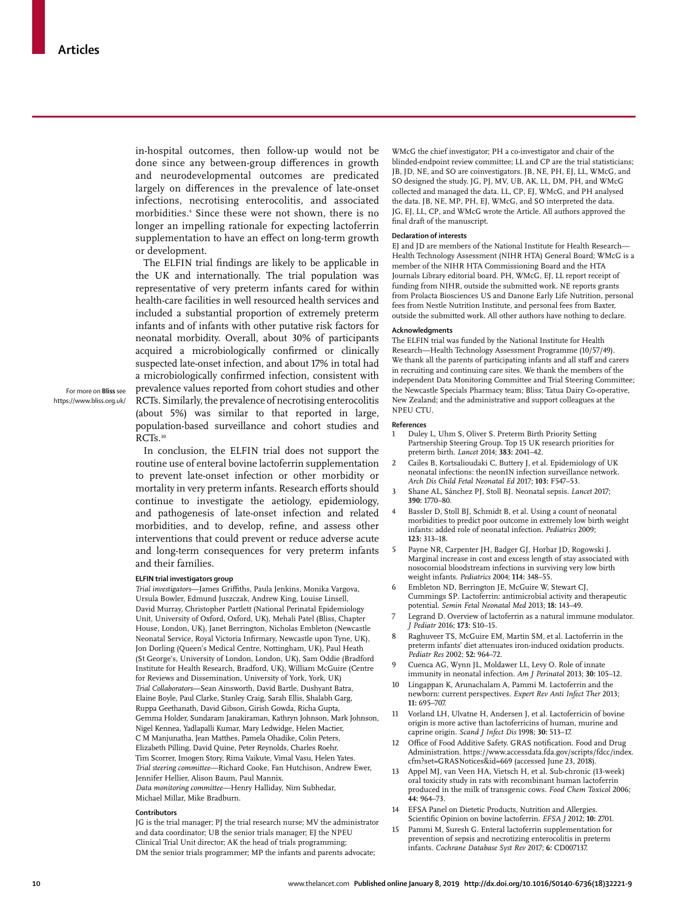in-hospital outcomes, then follow-up would not be done since any between-group differences in growth and neurodevelopmental outcomes are predicated largely on differences in the prevalence of late-onset infections, necrotising enterocolitis, and associated morbidities.<sup>4</sup> Since these were not shown, there is no longer an impelling rationale for expecting lactoferrin supplementation to have an effect on long-term growth or development.

The ELFIN trial findings are likely to be applicable in the UK and internationally. The trial population was representative of very preterm infants cared for within health-care facilities in well resourced health services and included a substantial proportion of extremely preterm infants and of infants with other putative risk factors for neonatal morbidity. Overall, about 30% of participants acquired a microbiologically confirmed or clinically suspected late-onset infection, and about 17% in total had a microbiologically confirmed infection, consistent with prevalence values reported from cohort studies and other RCTs. Similarly, the prevalence of necrotising enterocolitis (about 5%) was similar to that reported in large, population-based surveillance and cohort studies and RCT<sub>s.30</sub>

For more on **Bliss** see https://www.bliss.org.uk/

> In conclusion, the ELFIN trial does not support the routine use of enteral bovine lactoferrin supplementation to prevent late-onset infection or other morbidity or mortality in very preterm infants. Research efforts should continue to investigate the aetiology, epidemiology, and pathogenesis of late-onset infection and related morbidities, and to develop, refine, and assess other interventions that could prevent or reduce adverse acute and long-term consequences for very preterm infants and their families.

#### **ELFIN trial investigators group**

*Trial investigators*—James Griffiths, Paula Jenkins, Monika Vargova, Ursula Bowler, Edmund Juszczak, Andrew King, Louise Linsell, David Murray, Christopher Partlett (National Perinatal Epidemiology Unit, University of Oxford, Oxford, UK), Mehali Patel (Bliss, Chapter House, London, UK), Janet Berrington, Nicholas Embleton (Newcastle Neonatal Service, Royal Victoria Infirmary, Newcastle upon Tyne, UK), Jon Dorling (Queen's Medical Centre, Nottingham, UK), Paul Heath (St George's, University of London, London, UK), Sam Oddie (Bradford Institute for Health Research, Bradford, UK), William McGuire (Centre for Reviews and Dissemination, University of York, York, UK) *Trial Collaborators*—Sean Ainsworth, David Bartle, Dushyant Batra, Elaine Boyle, Paul Clarke, Stanley Craig, Sarah Ellis, Shalabh Garg, Ruppa Geethanath, David Gibson, Girish Gowda, Richa Gupta, Gemma Holder, Sundaram Janakiraman, Kathryn Johnson, Mark Johnson, Nigel Kennea, Yadlapalli Kumar, Mary Ledwidge, Helen Mactier, C M Manjunatha, Jean Matthes, Pamela Ohadike, Colin Peters, Elizabeth Pilling, David Quine, Peter Reynolds, Charles Roehr, Tim Scorrer, Imogen Story, Rima Vaikute, Vimal Vasu, Helen Yates. *Trial steering committee*—Richard Cooke, Fan Hutchison, Andrew Ewer, Jennifer Hellier, Alison Baum, Paul Mannix. *Data monitoring committee*—Henry Halliday, Nim Subhedar, Michael Millar, Mike Bradburn.

#### **Contributors**

JG is the trial manager; PJ the trial research nurse; MV the administrator and data coordinator; UB the senior trials manager; EJ the NPEU Clinical Trial Unit director; AK the head of trials programming; DM the senior trials programmer; MP the infants and parents advocate;

WMcG the chief investigator; PH a co-investigator and chair of the blinded-endpoint review committee; LL and CP are the trial statisticians; JB, JD, NE, and SO are coinvestigators. JB, NE, PH, EJ, LL, WMcG, and SO designed the study. JG, PJ, MV, UB, AK, LL, DM, PH, and WMcG collected and managed the data. LL, CP, EJ, WMcG, and PH analysed the data. JB, NE, MP, PH, EJ, WMcG, and SO interpreted the data. JG, EJ, LL, CP, and WMcG wrote the Article. All authors approved the final draft of the manuscript.

#### **Declaration of interests**

EJ and JD are members of the National Institute for Health Research— Health Technology Assessment (NIHR HTA) General Board; WMcG is a member of the NIHR HTA Commissioning Board and the HTA Journals Library editorial board. PH, WMcG, EJ, LL report receipt of funding from NIHR, outside the submitted work. NE reports grants from Prolacta Biosciences US and Danone Early Life Nutrition, personal fees from Nestle Nutrition Institute, and personal fees from Baxter, outside the submitted work. All other authors have nothing to declare.

#### **Acknowledgments**

The ELFIN trial was funded by the National Institute for Health Research—Health Technology Assessment Programme (10/57/49). We thank all the parents of participating infants and all staff and carers in recruiting and continuing care sites. We thank the members of the independent Data Monitoring Committee and Trial Steering Committee; the Newcastle Specials Pharmacy team; Bliss; Tatua Dairy Co-operative, New Zealand; and the administrative and support colleagues at the NPEU CTU.

#### **References**

- 1 Duley L, Uhm S, Oliver S. Preterm Birth Priority Setting Partnership Steering Group. Top 15 UK research priorities for preterm birth. *Lancet* 2014; **383:** 2041–42.
- 2 Cailes B, Kortsalioudaki C, Buttery J, et al. Epidemiology of UK neonatal infections: the neonIN infection surveillance network*. Arch Dis Child Fetal Neonatal Ed* 2017; **103:** F547–53.
- 3 Shane AL, Sánchez PJ, Stoll BJ. Neonatal sepsis. *Lancet* 2017; **390:** 1770–80.
- Bassler D, Stoll BJ, Schmidt B, et al. Using a count of neonatal morbidities to predict poor outcome in extremely low birth weight infants: added role of neonatal infection. *Pediatrics* 2009; **123:** 313–18.
- 5 Payne NR, Carpenter JH, Badger GJ, Horbar JD, Rogowski J. Marginal increase in cost and excess length of stay associated with nosocomial bloodstream infections in surviving very low birth weight infants. *Pediatrics* 2004; **114:** 348–55.
- Embleton ND, Berrington JE, McGuire W, Stewart CJ, Cummings SP. Lactoferrin: antimicrobial activity and therapeutic potential. *Semin Fetal Neonatal Med* 2013; **18:** 143–49.
- Legrand D. Overview of lactoferrin as a natural immune modulator. *J Pediatr* 2016; **173:** S10–15.
- Raghuveer TS, McGuire EM, Martin SM, et al. Lactoferrin in the preterm infants' diet attenuates iron-induced oxidation products. *Pediatr Res* 2002; **52:** 964–72.
- 9 Cuenca AG, Wynn JL, Moldawer LL, Levy O. Role of innate immunity in neonatal infection. *Am J Perinatol* 2013; **30:** 105–12.
- Lingappan K, Arunachalam A, Pammi M. Lactoferrin and the newborn: current perspectives. *Expert Rev Anti Infect Ther* 2013; **11:** 695–707.
- 11 Vorland LH, Ulvatne H, Andersen J, et al. Lactoferricin of bovine origin is more active than lactoferricins of human, murine and caprine origin. *Scand J Infect Dis* 1998; **30:** 513–17.
- 12 Office of Food Additive Safety. GRAS notification. Food and Drug Administration. https://www.accessdata.fda.gov/scripts/fdcc/index. cfm?set=GRASNotices&id=669 (accessed June 23, 2018).
- 13 Appel MJ, van Veen HA, Vietsch H, et al. Sub-chronic (13-week) oral toxicity study in rats with recombinant human lactoferrin produced in the milk of transgenic cows. *Food Chem Toxicol* 2006; **44:** 964–73.
- 14 EFSA Panel on Dietetic Products, Nutrition and Allergies. Scientific Opinion on bovine lactoferrin. *EFSA J* 2012; **10:** 2701.
- 15 Pammi M, Suresh G. Enteral lactoferrin supplementation for prevention of sepsis and necrotizing enterocolitis in preterm infants. *Cochrane Database Syst Rev* 2017; **6:** CD007137.